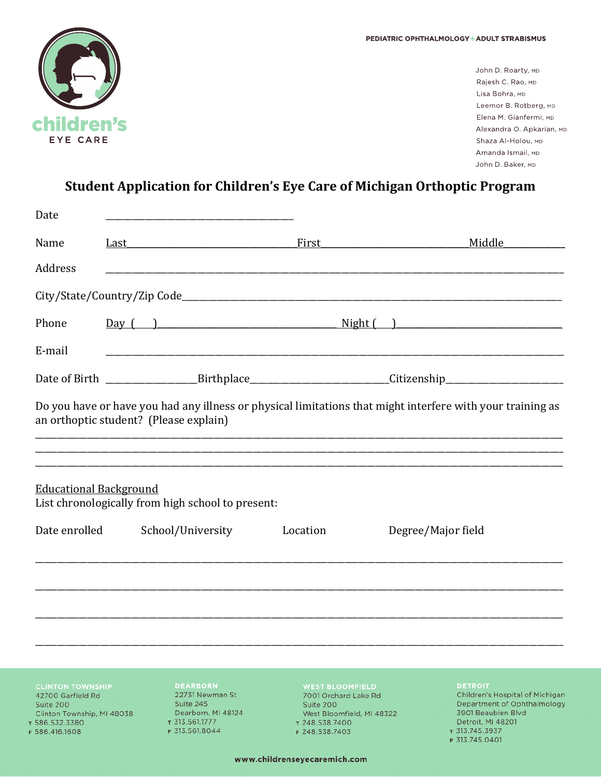

John D. Roarty, MD Rajesh C. Rao, MD Lisa Bohra, MD Leemor B. Rotberg, MD Elena M. Gianfermi, MD Alexandra O. Apkarian, MD Shaza Al-Holou, MD Amanda Ismail, MD John D. Baker, MD

Department of Ophthalmology

3901 Beaubien Blvd

Detroit, MI 48201

T 313.745.3937 F 313.745.0401

## Student Application for Children's Eye Care of Michigan Orthoptic Program

| Date                                         |                                        |                                                                                                                                                                                                                                |                                                |                                                                                                                |  |
|----------------------------------------------|----------------------------------------|--------------------------------------------------------------------------------------------------------------------------------------------------------------------------------------------------------------------------------|------------------------------------------------|----------------------------------------------------------------------------------------------------------------|--|
| Name                                         |                                        | Last the contract of the contract of the contract of the contract of the contract of the contract of the contract of the contract of the contract of the contract of the contract of the contract of the contract of the contr | First First                                    | Middle                                                                                                         |  |
| Address                                      |                                        |                                                                                                                                                                                                                                |                                                |                                                                                                                |  |
|                                              |                                        |                                                                                                                                                                                                                                |                                                |                                                                                                                |  |
| Phone                                        |                                        |                                                                                                                                                                                                                                |                                                | $Day($ ) $Night($ )                                                                                            |  |
| E-mail                                       |                                        |                                                                                                                                                                                                                                |                                                |                                                                                                                |  |
|                                              |                                        |                                                                                                                                                                                                                                |                                                | Date of Birth ___________________Birthplace___________________________Citizenship_____________________________ |  |
|                                              | an orthoptic student? (Please explain) |                                                                                                                                                                                                                                |                                                | Do you have or have you had any illness or physical limitations that might interfere with your training as     |  |
| <b>Educational Background</b>                |                                        | List chronologically from high school to present:                                                                                                                                                                              |                                                |                                                                                                                |  |
| Date enrolled                                | School/University                      |                                                                                                                                                                                                                                | Location                                       | Degree/Major field                                                                                             |  |
|                                              |                                        |                                                                                                                                                                                                                                |                                                |                                                                                                                |  |
| <b>CLINTON TOWNSHIP</b><br>42700 Garfield Rd |                                        | <b>DEARBORN</b><br>22731 Newman St                                                                                                                                                                                             | <b>WEST BLOOMFIELD</b><br>7001 Orchard Lake Rd | <b>DETROIT</b><br>Children's Hospital of Michigan                                                              |  |

42700 Garfield Rd Suite 200 Clinton Township, MI 48038 T 586.532.3380

F 586.416.1608

22731 Newman St Suite 245 Dearborn, MI 48124 T 313.561.1777 F 313.561.8044

7001 Orchard Lake Rd Suite 200 West Bloomfield, MI 48322 т 248.538.7400 F 248.538.7403

www.childrenseyecaremich.com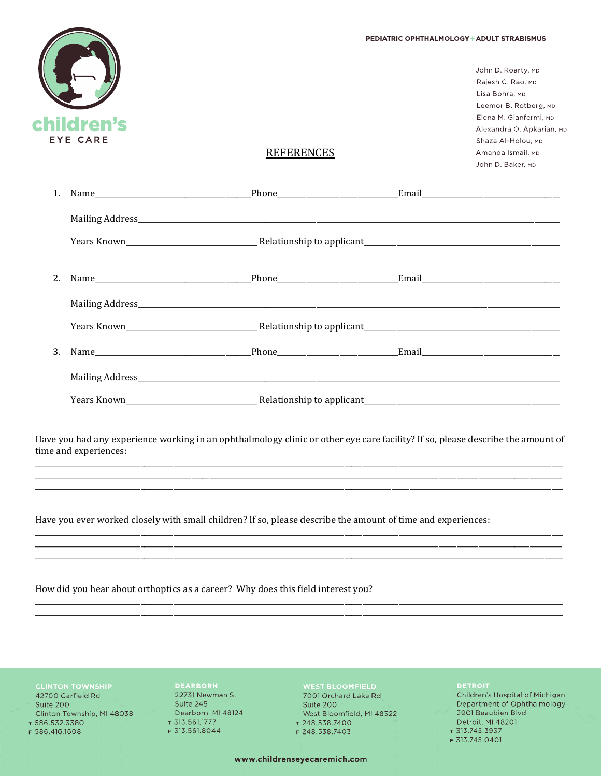| Rajesh C. Rao, MD<br>Lisa Bohra, MD<br>children's<br>EYE CARE<br><b>REFERENCES</b><br>John D. Baker, MD<br>1.<br>2.<br>3.<br>Have you had any experience working in an ophthalmology clinic or other eye care facility? If so, please describe the amount of<br>time and experiences:<br>Have you ever worked closely with small children? If so, please describe the amount of time and experiences:<br>How did you hear about orthoptics as a career? Why does this field interest you? |  | PEDIATRIC OPHTHALMOLOGY+ADULT STRABISMUS |                                                                       |  |  |  |  |
|-------------------------------------------------------------------------------------------------------------------------------------------------------------------------------------------------------------------------------------------------------------------------------------------------------------------------------------------------------------------------------------------------------------------------------------------------------------------------------------------|--|------------------------------------------|-----------------------------------------------------------------------|--|--|--|--|
|                                                                                                                                                                                                                                                                                                                                                                                                                                                                                           |  |                                          | John D. Roarty, MD<br>Leemor B. Rotberg, MD<br>Elena M. Gianfermi, MD |  |  |  |  |
|                                                                                                                                                                                                                                                                                                                                                                                                                                                                                           |  |                                          | Alexandra O. Apkarian, MD<br>Shaza Al-Holou, MD<br>Amanda Ismail, MD  |  |  |  |  |
|                                                                                                                                                                                                                                                                                                                                                                                                                                                                                           |  |                                          |                                                                       |  |  |  |  |
|                                                                                                                                                                                                                                                                                                                                                                                                                                                                                           |  |                                          |                                                                       |  |  |  |  |
|                                                                                                                                                                                                                                                                                                                                                                                                                                                                                           |  |                                          |                                                                       |  |  |  |  |
|                                                                                                                                                                                                                                                                                                                                                                                                                                                                                           |  |                                          |                                                                       |  |  |  |  |
|                                                                                                                                                                                                                                                                                                                                                                                                                                                                                           |  |                                          |                                                                       |  |  |  |  |
|                                                                                                                                                                                                                                                                                                                                                                                                                                                                                           |  |                                          |                                                                       |  |  |  |  |
|                                                                                                                                                                                                                                                                                                                                                                                                                                                                                           |  |                                          |                                                                       |  |  |  |  |
|                                                                                                                                                                                                                                                                                                                                                                                                                                                                                           |  |                                          |                                                                       |  |  |  |  |
|                                                                                                                                                                                                                                                                                                                                                                                                                                                                                           |  |                                          |                                                                       |  |  |  |  |
|                                                                                                                                                                                                                                                                                                                                                                                                                                                                                           |  |                                          |                                                                       |  |  |  |  |
|                                                                                                                                                                                                                                                                                                                                                                                                                                                                                           |  |                                          |                                                                       |  |  |  |  |
|                                                                                                                                                                                                                                                                                                                                                                                                                                                                                           |  |                                          |                                                                       |  |  |  |  |
|                                                                                                                                                                                                                                                                                                                                                                                                                                                                                           |  |                                          |                                                                       |  |  |  |  |
|                                                                                                                                                                                                                                                                                                                                                                                                                                                                                           |  |                                          |                                                                       |  |  |  |  |
|                                                                                                                                                                                                                                                                                                                                                                                                                                                                                           |  |                                          |                                                                       |  |  |  |  |

42700 Garfield Rd Suite 200 Clinton Township, MI 48038 T 586.532.3380

F 586.416.1608

22731 Newman St Suite 245 Dearborn, MI 48124 T 313.561.1777 F 313.561.8044

7001 Orchard Lake Rd Suite 200 West Bloomfield, MI 48322 7 248.538.7400 F 248.538.7403

Children's Hospital of Michigan Department of Ophthalmology 3901 Beaubien Blvd Detroit, MI 48201 T 313.745.3937 F 313.745.0401

www.childrenseyecaremich.com